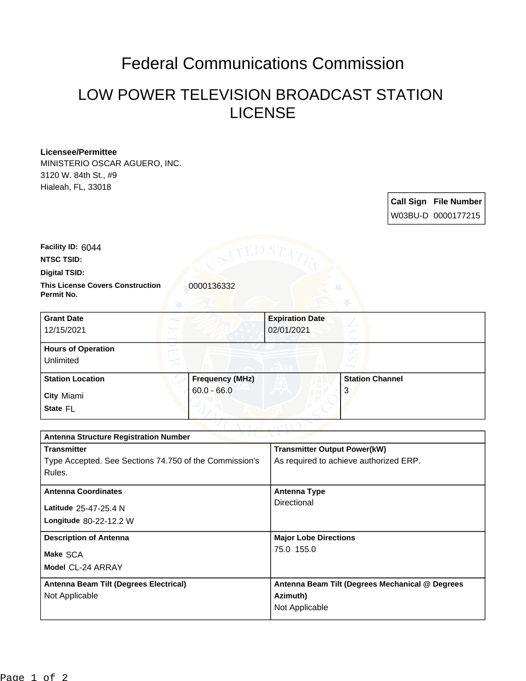## Federal Communications Commission

## LOW POWER TELEVISION BROADCAST STATION LICENSE

## **Licensee/Permittee**

MINISTERIO OSCAR AGUERO, INC. 3120 W. 84th St., #9 Hialeah, FL, 33018

> **Call Sign File Number** W03BU-D 0000177215

**Facility ID:** 6044

**NTSC TSID:**

**Digital TSID:**

**This License Covers Construction**  0000136332 **Permit No.**

| <b>Grant Date</b><br>12/15/2021        |                        | <b>Expiration Date</b><br>02/01/2021 |                        |  |
|----------------------------------------|------------------------|--------------------------------------|------------------------|--|
| <b>Hours of Operation</b><br>Unlimited |                        |                                      |                        |  |
| <b>Station Location</b>                | <b>Frequency (MHz)</b> |                                      | <b>Station Channel</b> |  |
| <b>City Miami</b><br>State FL          | $60.0 - 66.0$          |                                      | . 3                    |  |

| つりまし パーレン<br><b>Antenna Structure Registration Number</b> |                                                 |  |  |  |
|-----------------------------------------------------------|-------------------------------------------------|--|--|--|
| <b>Transmitter</b>                                        | <b>Transmitter Output Power(kW)</b>             |  |  |  |
| Type Accepted. See Sections 74.750 of the Commission's    | As required to achieve authorized ERP.          |  |  |  |
| Rules.                                                    |                                                 |  |  |  |
| <b>Antenna Coordinates</b>                                | <b>Antenna Type</b>                             |  |  |  |
|                                                           | Directional                                     |  |  |  |
| Latitude 25-47-25.4 N                                     |                                                 |  |  |  |
| <b>Longitude 80-22-12.2 W</b>                             |                                                 |  |  |  |
| <b>Description of Antenna</b>                             | <b>Major Lobe Directions</b>                    |  |  |  |
| Make SCA                                                  | 75.0 155.0                                      |  |  |  |
|                                                           |                                                 |  |  |  |
| Model CL-24 ARRAY                                         |                                                 |  |  |  |
| Antenna Beam Tilt (Degrees Electrical)                    | Antenna Beam Tilt (Degrees Mechanical @ Degrees |  |  |  |
| Not Applicable                                            | Azimuth)                                        |  |  |  |
|                                                           | Not Applicable                                  |  |  |  |
|                                                           |                                                 |  |  |  |